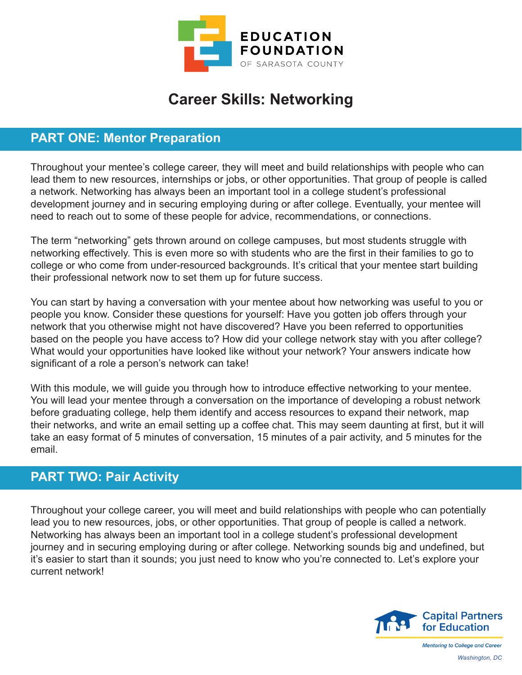

## **Career Skills: Networking**

## **PART ONE: Mentor Preparation**

Throughout your mentee's college career, they will meet and build relationships with people who can lead them to new resources, internships or jobs, or other opportunities. That group of people is called a network. Networking has always been an important tool in a college student's professional development journey and in securing employing during or after college. Eventually, your mentee will need to reach out to some of these people for advice, recommendations, or connections.

The term "networking" gets thrown around on college campuses, but most students struggle with networking effectively. This is even more so with students who are the first in their families to go to college or who come from under-resourced backgrounds. It's critical that your mentee start building their professional network now to set them up for future success.

You can start by having a conversation with your mentee about how networking was useful to you or people you know. Consider these questions for yourself: Have you gotten job offers through your network that you otherwise might not have discovered? Have you been referred to opportunities based on the people you have access to? How did your college network stay with you after college? What would your opportunities have looked like without your network? Your answers indicate how significant of a role a person's network can take!

With this module, we will guide you through how to introduce effective networking to your mentee. You will lead your mentee through a conversation on the importance of developing a robust network before graduating college, help them identify and access resources to expand their network, map their networks, and write an email setting up a coffee chat. This may seem daunting at first, but it will take an easy format of 5 minutes of conversation, 15 minutes of a pair activity, and 5 minutes for the email.

## **PART TWO: Pair Activity**

Throughout your college career, you will meet and build relationships with people who can potentially lead you to new resources, jobs, or other opportunities. That group of people is called a network. Networking has always been an important tool in a college student's professional development journey and in securing employing during or after college. Networking sounds big and undefined, but it's easier to start than it sounds; you just need to know who you're connected to. Let's explore your current network!



**Mentoring to College and Career** *Washington, DC*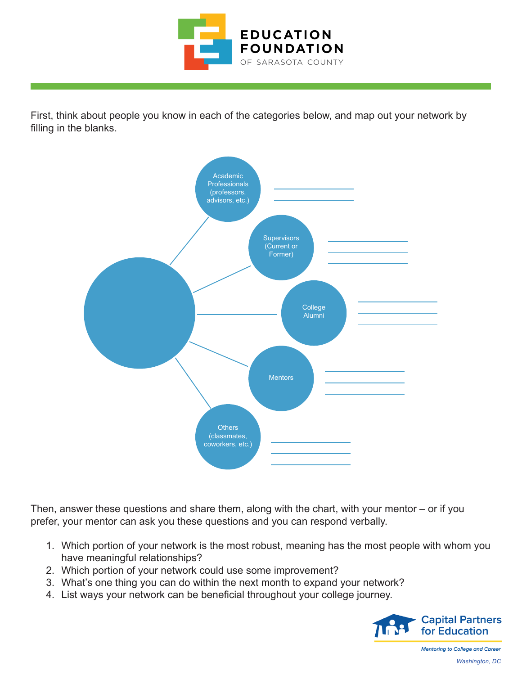

First, think about people you know in each of the categories below, and map out your network by filling in the blanks.



Then, answer these questions and share them, along with the chart, with your mentor – or if you prefer, your mentor can ask you these questions and you can respond verbally.

- 1. Which portion of your network is the most robust, meaning has the most people with whom you have meaningful relationships?
- 2. Which portion of your network could use some improvement?
- 3. What's one thing you can do within the next month to expand your network?
- 4. List ways your network can be beneficial throughout your college journey.